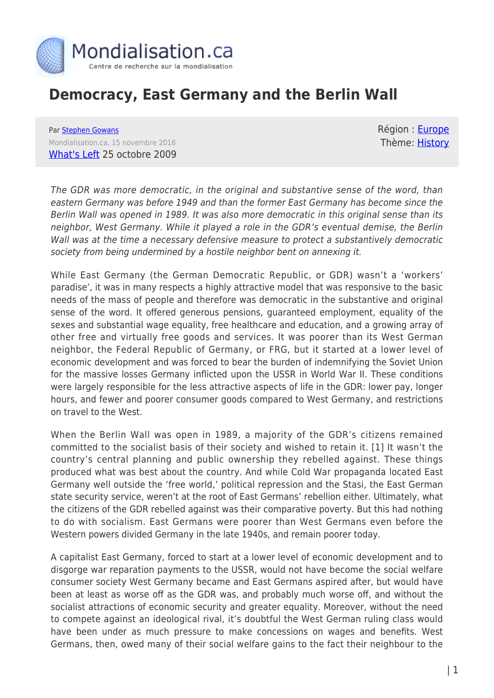

# **Democracy, East Germany and the Berlin Wall**

Par [Stephen Gowans](https://www.mondialisation.ca/author/stephen-gowans) Mondialisation.ca, 15 novembre 2016 [What's Left](https://gowans.wordpress.com/2009/10/25/democracy-east-germany-and-the-berlin-wall/) 25 octobre 2009 Région : **Europe** Thème: [History](https://www.mondialisation.ca/theme/culture-society-history)

The GDR was more democratic, in the original and substantive sense of the word, than eastern Germany was before 1949 and than the former East Germany has become since the Berlin Wall was opened in 1989. It was also more democratic in this original sense than its neighbor, West Germany. While it played a role in the GDR's eventual demise, the Berlin Wall was at the time a necessary defensive measure to protect a substantively democratic society from being undermined by a hostile neighbor bent on annexing it.

While East Germany (the German Democratic Republic, or GDR) wasn't a 'workers' paradise', it was in many respects a highly attractive model that was responsive to the basic needs of the mass of people and therefore was democratic in the substantive and original sense of the word. It offered generous pensions, guaranteed employment, equality of the sexes and substantial wage equality, free healthcare and education, and a growing array of other free and virtually free goods and services. It was poorer than its West German neighbor, the Federal Republic of Germany, or FRG, but it started at a lower level of economic development and was forced to bear the burden of indemnifying the Soviet Union for the massive losses Germany inflicted upon the USSR in World War II. These conditions were largely responsible for the less attractive aspects of life in the GDR: lower pay, longer hours, and fewer and poorer consumer goods compared to West Germany, and restrictions on travel to the West.

When the Berlin Wall was open in 1989, a majority of the GDR's citizens remained committed to the socialist basis of their society and wished to retain it. [1] It wasn't the country's central planning and public ownership they rebelled against. These things produced what was best about the country. And while Cold War propaganda located East Germany well outside the 'free world,' political repression and the Stasi, the East German state security service, weren't at the root of East Germans' rebellion either. Ultimately, what the citizens of the GDR rebelled against was their comparative poverty. But this had nothing to do with socialism. East Germans were poorer than West Germans even before the Western powers divided Germany in the late 1940s, and remain poorer today.

A capitalist East Germany, forced to start at a lower level of economic development and to disgorge war reparation payments to the USSR, would not have become the social welfare consumer society West Germany became and East Germans aspired after, but would have been at least as worse off as the GDR was, and probably much worse off, and without the socialist attractions of economic security and greater equality. Moreover, without the need to compete against an ideological rival, it's doubtful the West German ruling class would have been under as much pressure to make concessions on wages and benefits. West Germans, then, owed many of their social welfare gains to the fact their neighbour to the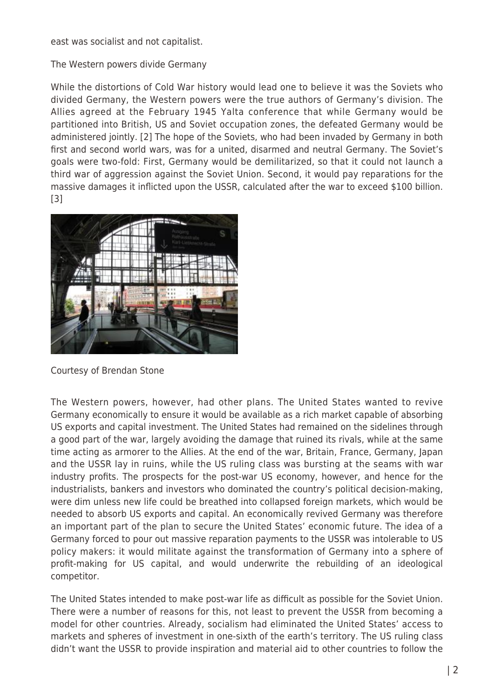east was socialist and not capitalist.

The Western powers divide Germany

While the distortions of Cold War history would lead one to believe it was the Soviets who divided Germany, the Western powers were the true authors of Germany's division. The Allies agreed at the February 1945 Yalta conference that while Germany would be partitioned into British, US and Soviet occupation zones, the defeated Germany would be administered jointly. [2] The hope of the Soviets, who had been invaded by Germany in both first and second world wars, was for a united, disarmed and neutral Germany. The Soviet's goals were two-fold: First, Germany would be demilitarized, so that it could not launch a third war of aggression against the Soviet Union. Second, it would pay reparations for the massive damages it inflicted upon the USSR, calculated after the war to exceed \$100 billion. [3]



Courtesy of Brendan Stone

The Western powers, however, had other plans. The United States wanted to revive Germany economically to ensure it would be available as a rich market capable of absorbing US exports and capital investment. The United States had remained on the sidelines through a good part of the war, largely avoiding the damage that ruined its rivals, while at the same time acting as armorer to the Allies. At the end of the war, Britain, France, Germany, Japan and the USSR lay in ruins, while the US ruling class was bursting at the seams with war industry profits. The prospects for the post-war US economy, however, and hence for the industrialists, bankers and investors who dominated the country's political decision-making, were dim unless new life could be breathed into collapsed foreign markets, which would be needed to absorb US exports and capital. An economically revived Germany was therefore an important part of the plan to secure the United States' economic future. The idea of a Germany forced to pour out massive reparation payments to the USSR was intolerable to US policy makers: it would militate against the transformation of Germany into a sphere of profit-making for US capital, and would underwrite the rebuilding of an ideological competitor.

The United States intended to make post-war life as difficult as possible for the Soviet Union. There were a number of reasons for this, not least to prevent the USSR from becoming a model for other countries. Already, socialism had eliminated the United States' access to markets and spheres of investment in one-sixth of the earth's territory. The US ruling class didn't want the USSR to provide inspiration and material aid to other countries to follow the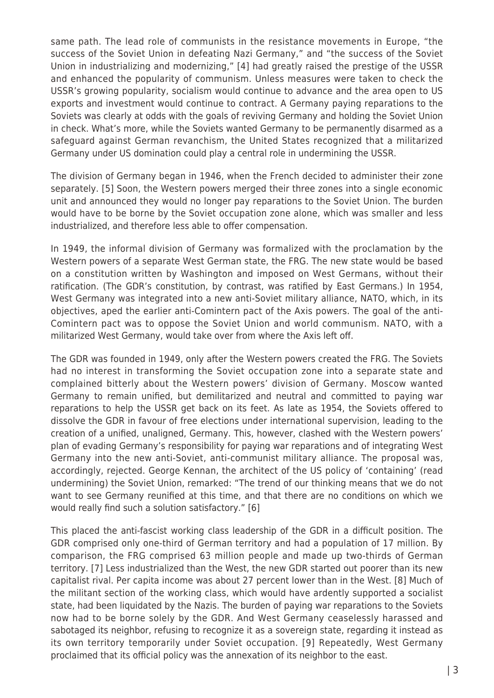same path. The lead role of communists in the resistance movements in Europe, "the success of the Soviet Union in defeating Nazi Germany," and "the success of the Soviet Union in industrializing and modernizing," [4] had greatly raised the prestige of the USSR and enhanced the popularity of communism. Unless measures were taken to check the USSR's growing popularity, socialism would continue to advance and the area open to US exports and investment would continue to contract. A Germany paying reparations to the Soviets was clearly at odds with the goals of reviving Germany and holding the Soviet Union in check. What's more, while the Soviets wanted Germany to be permanently disarmed as a safeguard against German revanchism, the United States recognized that a militarized Germany under US domination could play a central role in undermining the USSR.

The division of Germany began in 1946, when the French decided to administer their zone separately. [5] Soon, the Western powers merged their three zones into a single economic unit and announced they would no longer pay reparations to the Soviet Union. The burden would have to be borne by the Soviet occupation zone alone, which was smaller and less industrialized, and therefore less able to offer compensation.

In 1949, the informal division of Germany was formalized with the proclamation by the Western powers of a separate West German state, the FRG. The new state would be based on a constitution written by Washington and imposed on West Germans, without their ratification. (The GDR's constitution, by contrast, was ratified by East Germans.) In 1954, West Germany was integrated into a new anti-Soviet military alliance, NATO, which, in its objectives, aped the earlier anti-Comintern pact of the Axis powers. The goal of the anti-Comintern pact was to oppose the Soviet Union and world communism. NATO, with a militarized West Germany, would take over from where the Axis left off.

The GDR was founded in 1949, only after the Western powers created the FRG. The Soviets had no interest in transforming the Soviet occupation zone into a separate state and complained bitterly about the Western powers' division of Germany. Moscow wanted Germany to remain unified, but demilitarized and neutral and committed to paying war reparations to help the USSR get back on its feet. As late as 1954, the Soviets offered to dissolve the GDR in favour of free elections under international supervision, leading to the creation of a unified, unaligned, Germany. This, however, clashed with the Western powers' plan of evading Germany's responsibility for paying war reparations and of integrating West Germany into the new anti-Soviet, anti-communist military alliance. The proposal was, accordingly, rejected. George Kennan, the architect of the US policy of 'containing' (read undermining) the Soviet Union, remarked: "The trend of our thinking means that we do not want to see Germany reunified at this time, and that there are no conditions on which we would really find such a solution satisfactory." [6]

This placed the anti-fascist working class leadership of the GDR in a difficult position. The GDR comprised only one-third of German territory and had a population of 17 million. By comparison, the FRG comprised 63 million people and made up two-thirds of German territory. [7] Less industrialized than the West, the new GDR started out poorer than its new capitalist rival. Per capita income was about 27 percent lower than in the West. [8] Much of the militant section of the working class, which would have ardently supported a socialist state, had been liquidated by the Nazis. The burden of paying war reparations to the Soviets now had to be borne solely by the GDR. And West Germany ceaselessly harassed and sabotaged its neighbor, refusing to recognize it as a sovereign state, regarding it instead as its own territory temporarily under Soviet occupation. [9] Repeatedly, West Germany proclaimed that its official policy was the annexation of its neighbor to the east.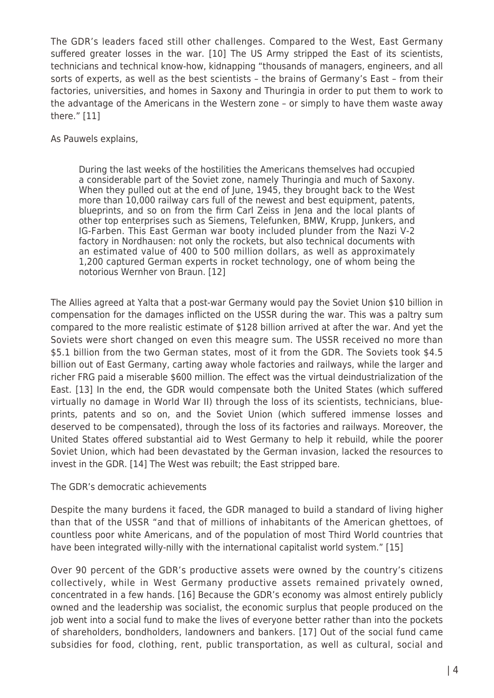The GDR's leaders faced still other challenges. Compared to the West, East Germany suffered greater losses in the war. [10] The US Army stripped the East of its scientists, technicians and technical know-how, kidnapping "thousands of managers, engineers, and all sorts of experts, as well as the best scientists – the brains of Germany's East – from their factories, universities, and homes in Saxony and Thuringia in order to put them to work to the advantage of the Americans in the Western zone – or simply to have them waste away there." [11]

As Pauwels explains,

During the last weeks of the hostilities the Americans themselves had occupied a considerable part of the Soviet zone, namely Thuringia and much of Saxony. When they pulled out at the end of June, 1945, they brought back to the West more than 10,000 railway cars full of the newest and best equipment, patents, blueprints, and so on from the firm Carl Zeiss in Jena and the local plants of other top enterprises such as Siemens, Telefunken, BMW, Krupp, Junkers, and IG-Farben. This East German war booty included plunder from the Nazi V-2 factory in Nordhausen: not only the rockets, but also technical documents with an estimated value of 400 to 500 million dollars, as well as approximately 1,200 captured German experts in rocket technology, one of whom being the notorious Wernher von Braun. [12]

The Allies agreed at Yalta that a post-war Germany would pay the Soviet Union \$10 billion in compensation for the damages inflicted on the USSR during the war. This was a paltry sum compared to the more realistic estimate of \$128 billion arrived at after the war. And yet the Soviets were short changed on even this meagre sum. The USSR received no more than \$5.1 billion from the two German states, most of it from the GDR. The Soviets took \$4.5 billion out of East Germany, carting away whole factories and railways, while the larger and richer FRG paid a miserable \$600 million. The effect was the virtual deindustrialization of the East. [13] In the end, the GDR would compensate both the United States (which suffered virtually no damage in World War II) through the loss of its scientists, technicians, blueprints, patents and so on, and the Soviet Union (which suffered immense losses and deserved to be compensated), through the loss of its factories and railways. Moreover, the United States offered substantial aid to West Germany to help it rebuild, while the poorer Soviet Union, which had been devastated by the German invasion, lacked the resources to invest in the GDR. [14] The West was rebuilt; the East stripped bare.

The GDR's democratic achievements

Despite the many burdens it faced, the GDR managed to build a standard of living higher than that of the USSR "and that of millions of inhabitants of the American ghettoes, of countless poor white Americans, and of the population of most Third World countries that have been integrated willy-nilly with the international capitalist world system." [15]

Over 90 percent of the GDR's productive assets were owned by the country's citizens collectively, while in West Germany productive assets remained privately owned, concentrated in a few hands. [16] Because the GDR's economy was almost entirely publicly owned and the leadership was socialist, the economic surplus that people produced on the job went into a social fund to make the lives of everyone better rather than into the pockets of shareholders, bondholders, landowners and bankers. [17] Out of the social fund came subsidies for food, clothing, rent, public transportation, as well as cultural, social and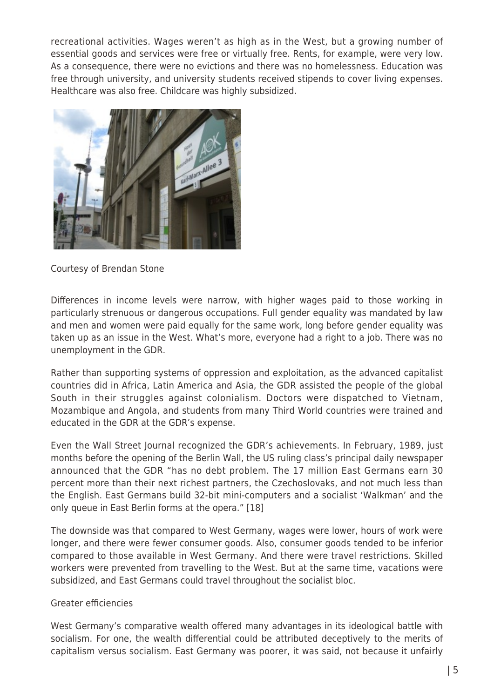recreational activities. Wages weren't as high as in the West, but a growing number of essential goods and services were free or virtually free. Rents, for example, were very low. As a consequence, there were no evictions and there was no homelessness. Education was free through university, and university students received stipends to cover living expenses. Healthcare was also free. Childcare was highly subsidized.



Courtesy of Brendan Stone

Differences in income levels were narrow, with higher wages paid to those working in particularly strenuous or dangerous occupations. Full gender equality was mandated by law and men and women were paid equally for the same work, long before gender equality was taken up as an issue in the West. What's more, everyone had a right to a job. There was no unemployment in the GDR.

Rather than supporting systems of oppression and exploitation, as the advanced capitalist countries did in Africa, Latin America and Asia, the GDR assisted the people of the global South in their struggles against colonialism. Doctors were dispatched to Vietnam, Mozambique and Angola, and students from many Third World countries were trained and educated in the GDR at the GDR's expense.

Even the Wall Street Journal recognized the GDR's achievements. In February, 1989, just months before the opening of the Berlin Wall, the US ruling class's principal daily newspaper announced that the GDR "has no debt problem. The 17 million East Germans earn 30 percent more than their next richest partners, the Czechoslovaks, and not much less than the English. East Germans build 32-bit mini-computers and a socialist 'Walkman' and the only queue in East Berlin forms at the opera." [18]

The downside was that compared to West Germany, wages were lower, hours of work were longer, and there were fewer consumer goods. Also, consumer goods tended to be inferior compared to those available in West Germany. And there were travel restrictions. Skilled workers were prevented from travelling to the West. But at the same time, vacations were subsidized, and East Germans could travel throughout the socialist bloc.

## Greater efficiencies

West Germany's comparative wealth offered many advantages in its ideological battle with socialism. For one, the wealth differential could be attributed deceptively to the merits of capitalism versus socialism. East Germany was poorer, it was said, not because it unfairly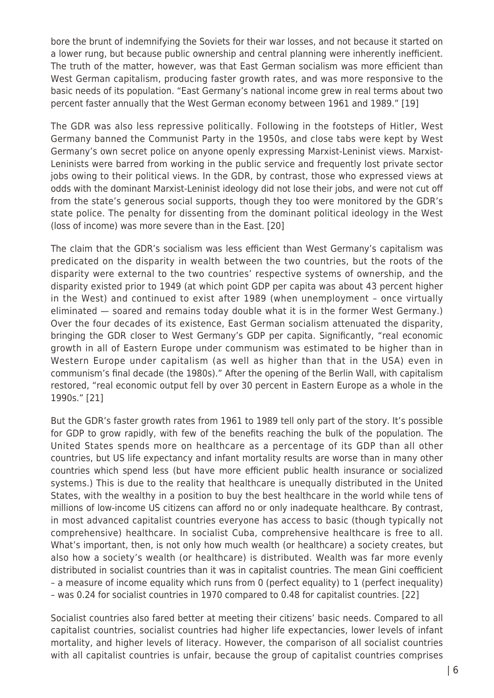bore the brunt of indemnifying the Soviets for their war losses, and not because it started on a lower rung, but because public ownership and central planning were inherently inefficient. The truth of the matter, however, was that East German socialism was more efficient than West German capitalism, producing faster growth rates, and was more responsive to the basic needs of its population. "East Germany's national income grew in real terms about two percent faster annually that the West German economy between 1961 and 1989." [19]

The GDR was also less repressive politically. Following in the footsteps of Hitler, West Germany banned the Communist Party in the 1950s, and close tabs were kept by West Germany's own secret police on anyone openly expressing Marxist-Leninist views. Marxist-Leninists were barred from working in the public service and frequently lost private sector jobs owing to their political views. In the GDR, by contrast, those who expressed views at odds with the dominant Marxist-Leninist ideology did not lose their jobs, and were not cut off from the state's generous social supports, though they too were monitored by the GDR's state police. The penalty for dissenting from the dominant political ideology in the West (loss of income) was more severe than in the East. [20]

The claim that the GDR's socialism was less efficient than West Germany's capitalism was predicated on the disparity in wealth between the two countries, but the roots of the disparity were external to the two countries' respective systems of ownership, and the disparity existed prior to 1949 (at which point GDP per capita was about 43 percent higher in the West) and continued to exist after 1989 (when unemployment – once virtually eliminated — soared and remains today double what it is in the former West Germany.) Over the four decades of its existence, East German socialism attenuated the disparity, bringing the GDR closer to West Germany's GDP per capita. Significantly, "real economic growth in all of Eastern Europe under communism was estimated to be higher than in Western Europe under capitalism (as well as higher than that in the USA) even in communism's final decade (the 1980s)." After the opening of the Berlin Wall, with capitalism restored, "real economic output fell by over 30 percent in Eastern Europe as a whole in the 1990s." [21]

But the GDR's faster growth rates from 1961 to 1989 tell only part of the story. It's possible for GDP to grow rapidly, with few of the benefits reaching the bulk of the population. The United States spends more on healthcare as a percentage of its GDP than all other countries, but US life expectancy and infant mortality results are worse than in many other countries which spend less (but have more efficient public health insurance or socialized systems.) This is due to the reality that healthcare is unequally distributed in the United States, with the wealthy in a position to buy the best healthcare in the world while tens of millions of low-income US citizens can afford no or only inadequate healthcare. By contrast, in most advanced capitalist countries everyone has access to basic (though typically not comprehensive) healthcare. In socialist Cuba, comprehensive healthcare is free to all. What's important, then, is not only how much wealth (or healthcare) a society creates, but also how a society's wealth (or healthcare) is distributed. Wealth was far more evenly distributed in socialist countries than it was in capitalist countries. The mean Gini coefficient – a measure of income equality which runs from 0 (perfect equality) to 1 (perfect inequality) – was 0.24 for socialist countries in 1970 compared to 0.48 for capitalist countries. [22]

Socialist countries also fared better at meeting their citizens' basic needs. Compared to all capitalist countries, socialist countries had higher life expectancies, lower levels of infant mortality, and higher levels of literacy. However, the comparison of all socialist countries with all capitalist countries is unfair, because the group of capitalist countries comprises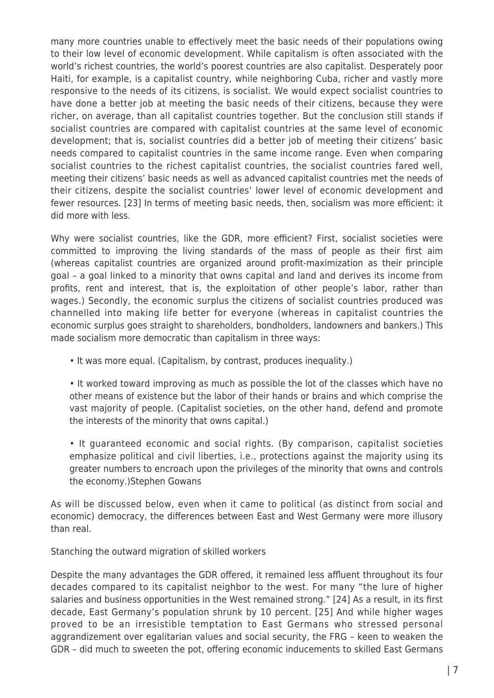many more countries unable to effectively meet the basic needs of their populations owing to their low level of economic development. While capitalism is often associated with the world's richest countries, the world's poorest countries are also capitalist. Desperately poor Haiti, for example, is a capitalist country, while neighboring Cuba, richer and vastly more responsive to the needs of its citizens, is socialist. We would expect socialist countries to have done a better job at meeting the basic needs of their citizens, because they were richer, on average, than all capitalist countries together. But the conclusion still stands if socialist countries are compared with capitalist countries at the same level of economic development; that is, socialist countries did a better job of meeting their citizens' basic needs compared to capitalist countries in the same income range. Even when comparing socialist countries to the richest capitalist countries, the socialist countries fared well, meeting their citizens' basic needs as well as advanced capitalist countries met the needs of their citizens, despite the socialist countries' lower level of economic development and fewer resources. [23] In terms of meeting basic needs, then, socialism was more efficient: it did more with less.

Why were socialist countries, like the GDR, more efficient? First, socialist societies were committed to improving the living standards of the mass of people as their first aim (whereas capitalist countries are organized around profit-maximization as their principle goal – a goal linked to a minority that owns capital and land and derives its income from profits, rent and interest, that is, the exploitation of other people's labor, rather than wages.) Secondly, the economic surplus the citizens of socialist countries produced was channelled into making life better for everyone (whereas in capitalist countries the economic surplus goes straight to shareholders, bondholders, landowners and bankers.) This made socialism more democratic than capitalism in three ways:

• It was more equal. (Capitalism, by contrast, produces inequality.)

• It worked toward improving as much as possible the lot of the classes which have no other means of existence but the labor of their hands or brains and which comprise the vast majority of people. (Capitalist societies, on the other hand, defend and promote the interests of the minority that owns capital.)

• It guaranteed economic and social rights. (By comparison, capitalist societies emphasize political and civil liberties, i.e., protections against the majority using its greater numbers to encroach upon the privileges of the minority that owns and controls the economy.)Stephen Gowans

As will be discussed below, even when it came to political (as distinct from social and economic) democracy, the differences between East and West Germany were more illusory than real.

Stanching the outward migration of skilled workers

Despite the many advantages the GDR offered, it remained less affluent throughout its four decades compared to its capitalist neighbor to the west. For many "the lure of higher salaries and business opportunities in the West remained strong." [24] As a result, in its first decade, East Germany's population shrunk by 10 percent. [25] And while higher wages proved to be an irresistible temptation to East Germans who stressed personal aggrandizement over egalitarian values and social security, the FRG – keen to weaken the GDR – did much to sweeten the pot, offering economic inducements to skilled East Germans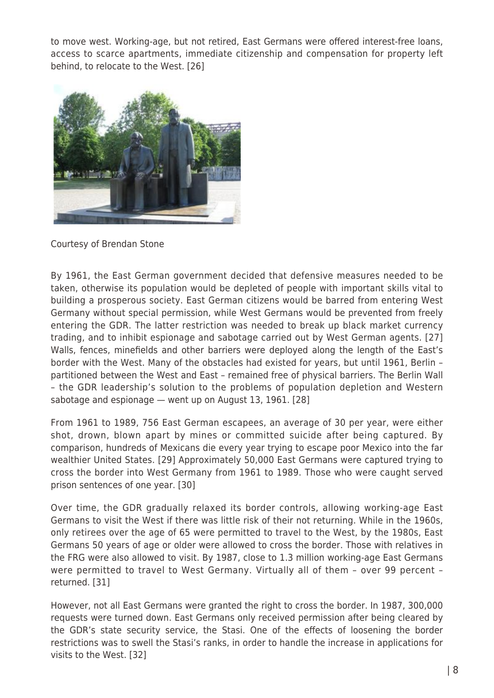to move west. Working-age, but not retired, East Germans were offered interest-free loans, access to scarce apartments, immediate citizenship and compensation for property left behind, to relocate to the West. [26]



Courtesy of Brendan Stone

By 1961, the East German government decided that defensive measures needed to be taken, otherwise its population would be depleted of people with important skills vital to building a prosperous society. East German citizens would be barred from entering West Germany without special permission, while West Germans would be prevented from freely entering the GDR. The latter restriction was needed to break up black market currency trading, and to inhibit espionage and sabotage carried out by West German agents. [27] Walls, fences, minefields and other barriers were deployed along the length of the East's border with the West. Many of the obstacles had existed for years, but until 1961, Berlin – partitioned between the West and East – remained free of physical barriers. The Berlin Wall – the GDR leadership's solution to the problems of population depletion and Western sabotage and espionage — went up on August 13, 1961. [28]

From 1961 to 1989, 756 East German escapees, an average of 30 per year, were either shot, drown, blown apart by mines or committed suicide after being captured. By comparison, hundreds of Mexicans die every year trying to escape poor Mexico into the far wealthier United States. [29] Approximately 50,000 East Germans were captured trying to cross the border into West Germany from 1961 to 1989. Those who were caught served prison sentences of one year. [30]

Over time, the GDR gradually relaxed its border controls, allowing working-age East Germans to visit the West if there was little risk of their not returning. While in the 1960s, only retirees over the age of 65 were permitted to travel to the West, by the 1980s, East Germans 50 years of age or older were allowed to cross the border. Those with relatives in the FRG were also allowed to visit. By 1987, close to 1.3 million working-age East Germans were permitted to travel to West Germany. Virtually all of them – over 99 percent – returned. [31]

However, not all East Germans were granted the right to cross the border. In 1987, 300,000 requests were turned down. East Germans only received permission after being cleared by the GDR's state security service, the Stasi. One of the effects of loosening the border restrictions was to swell the Stasi's ranks, in order to handle the increase in applications for visits to the West. [32]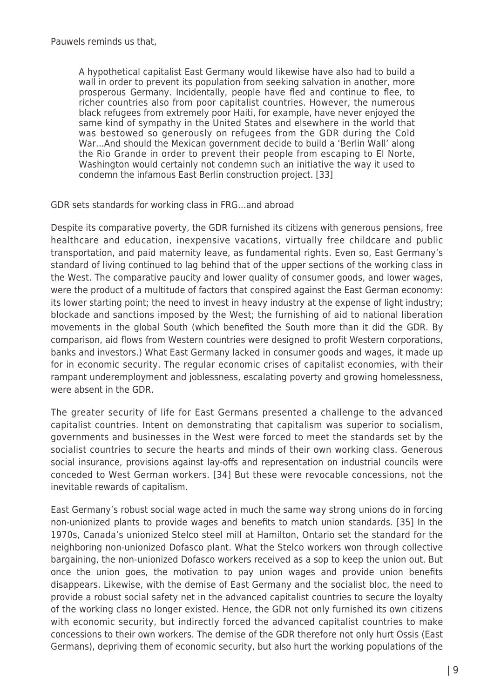A hypothetical capitalist East Germany would likewise have also had to build a wall in order to prevent its population from seeking salvation in another, more prosperous Germany. Incidentally, people have fled and continue to flee, to richer countries also from poor capitalist countries. However, the numerous black refugees from extremely poor Haiti, for example, have never enjoyed the same kind of sympathy in the United States and elsewhere in the world that was bestowed so generously on refugees from the GDR during the Cold War…And should the Mexican government decide to build a 'Berlin Wall' along the Rio Grande in order to prevent their people from escaping to El Norte, Washington would certainly not condemn such an initiative the way it used to condemn the infamous East Berlin construction project. [33]

GDR sets standards for working class in FRG…and abroad

Despite its comparative poverty, the GDR furnished its citizens with generous pensions, free healthcare and education, inexpensive vacations, virtually free childcare and public transportation, and paid maternity leave, as fundamental rights. Even so, East Germany's standard of living continued to lag behind that of the upper sections of the working class in the West. The comparative paucity and lower quality of consumer goods, and lower wages, were the product of a multitude of factors that conspired against the East German economy: its lower starting point; the need to invest in heavy industry at the expense of light industry; blockade and sanctions imposed by the West; the furnishing of aid to national liberation movements in the global South (which benefited the South more than it did the GDR. By comparison, aid flows from Western countries were designed to profit Western corporations, banks and investors.) What East Germany lacked in consumer goods and wages, it made up for in economic security. The regular economic crises of capitalist economies, with their rampant underemployment and joblessness, escalating poverty and growing homelessness, were absent in the GDR.

The greater security of life for East Germans presented a challenge to the advanced capitalist countries. Intent on demonstrating that capitalism was superior to socialism, governments and businesses in the West were forced to meet the standards set by the socialist countries to secure the hearts and minds of their own working class. Generous social insurance, provisions against lay-offs and representation on industrial councils were conceded to West German workers. [34] But these were revocable concessions, not the inevitable rewards of capitalism.

East Germany's robust social wage acted in much the same way strong unions do in forcing non-unionized plants to provide wages and benefits to match union standards. [35] In the 1970s, Canada's unionized Stelco steel mill at Hamilton, Ontario set the standard for the neighboring non-unionized Dofasco plant. What the Stelco workers won through collective bargaining, the non-unionized Dofasco workers received as a sop to keep the union out. But once the union goes, the motivation to pay union wages and provide union benefits disappears. Likewise, with the demise of East Germany and the socialist bloc, the need to provide a robust social safety net in the advanced capitalist countries to secure the loyalty of the working class no longer existed. Hence, the GDR not only furnished its own citizens with economic security, but indirectly forced the advanced capitalist countries to make concessions to their own workers. The demise of the GDR therefore not only hurt Ossis (East Germans), depriving them of economic security, but also hurt the working populations of the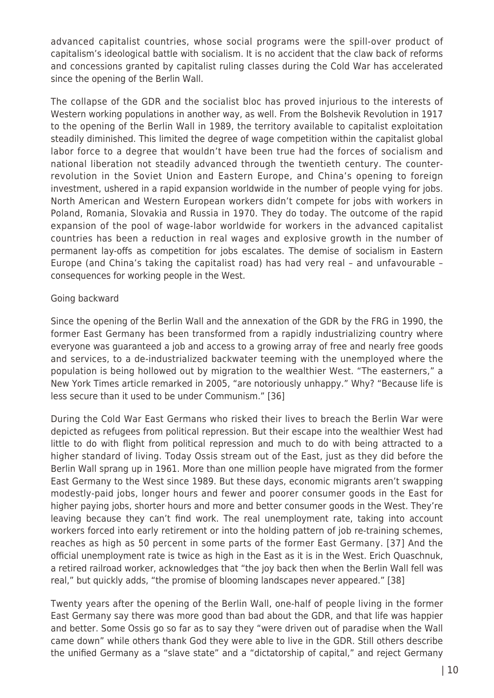advanced capitalist countries, whose social programs were the spill-over product of capitalism's ideological battle with socialism. It is no accident that the claw back of reforms and concessions granted by capitalist ruling classes during the Cold War has accelerated since the opening of the Berlin Wall.

The collapse of the GDR and the socialist bloc has proved injurious to the interests of Western working populations in another way, as well. From the Bolshevik Revolution in 1917 to the opening of the Berlin Wall in 1989, the territory available to capitalist exploitation steadily diminished. This limited the degree of wage competition within the capitalist global labor force to a degree that wouldn't have been true had the forces of socialism and national liberation not steadily advanced through the twentieth century. The counterrevolution in the Soviet Union and Eastern Europe, and China's opening to foreign investment, ushered in a rapid expansion worldwide in the number of people vying for jobs. North American and Western European workers didn't compete for jobs with workers in Poland, Romania, Slovakia and Russia in 1970. They do today. The outcome of the rapid expansion of the pool of wage-labor worldwide for workers in the advanced capitalist countries has been a reduction in real wages and explosive growth in the number of permanent lay-offs as competition for jobs escalates. The demise of socialism in Eastern Europe (and China's taking the capitalist road) has had very real – and unfavourable – consequences for working people in the West.

#### Going backward

Since the opening of the Berlin Wall and the annexation of the GDR by the FRG in 1990, the former East Germany has been transformed from a rapidly industrializing country where everyone was guaranteed a job and access to a growing array of free and nearly free goods and services, to a de-industrialized backwater teeming with the unemployed where the population is being hollowed out by migration to the wealthier West. "The easterners," a New York Times article remarked in 2005, "are notoriously unhappy." Why? "Because life is less secure than it used to be under Communism." [36]

During the Cold War East Germans who risked their lives to breach the Berlin War were depicted as refugees from political repression. But their escape into the wealthier West had little to do with flight from political repression and much to do with being attracted to a higher standard of living. Today Ossis stream out of the East, just as they did before the Berlin Wall sprang up in 1961. More than one million people have migrated from the former East Germany to the West since 1989. But these days, economic migrants aren't swapping modestly-paid jobs, longer hours and fewer and poorer consumer goods in the East for higher paying jobs, shorter hours and more and better consumer goods in the West. They're leaving because they can't find work. The real unemployment rate, taking into account workers forced into early retirement or into the holding pattern of job re-training schemes, reaches as high as 50 percent in some parts of the former East Germany. [37] And the official unemployment rate is twice as high in the East as it is in the West. Erich Quaschnuk, a retired railroad worker, acknowledges that "the joy back then when the Berlin Wall fell was real," but quickly adds, "the promise of blooming landscapes never appeared." [38]

Twenty years after the opening of the Berlin Wall, one-half of people living in the former East Germany say there was more good than bad about the GDR, and that life was happier and better. Some Ossis go so far as to say they "were driven out of paradise when the Wall came down" while others thank God they were able to live in the GDR. Still others describe the unified Germany as a "slave state" and a "dictatorship of capital," and reject Germany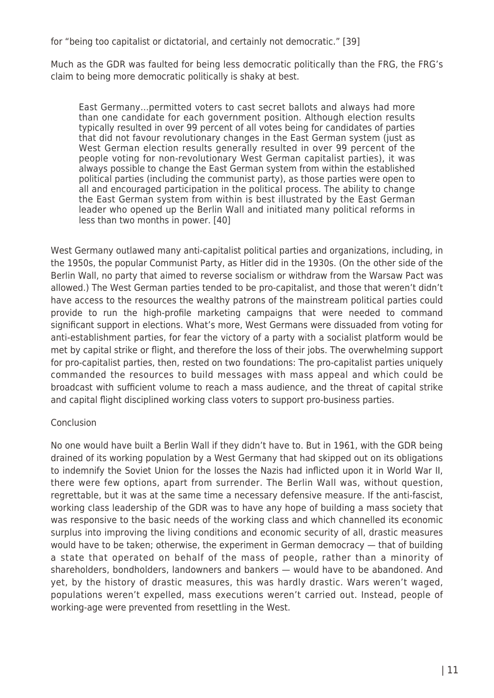for "being too capitalist or dictatorial, and certainly not democratic." [39]

Much as the GDR was faulted for being less democratic politically than the FRG, the FRG's claim to being more democratic politically is shaky at best.

East Germany…permitted voters to cast secret ballots and always had more than one candidate for each government position. Although election results typically resulted in over 99 percent of all votes being for candidates of parties that did not favour revolutionary changes in the East German system (just as West German election results generally resulted in over 99 percent of the people voting for non-revolutionary West German capitalist parties), it was always possible to change the East German system from within the established political parties (including the communist party), as those parties were open to all and encouraged participation in the political process. The ability to change the East German system from within is best illustrated by the East German leader who opened up the Berlin Wall and initiated many political reforms in less than two months in power. [40]

West Germany outlawed many anti-capitalist political parties and organizations, including, in the 1950s, the popular Communist Party, as Hitler did in the 1930s. (On the other side of the Berlin Wall, no party that aimed to reverse socialism or withdraw from the Warsaw Pact was allowed.) The West German parties tended to be pro-capitalist, and those that weren't didn't have access to the resources the wealthy patrons of the mainstream political parties could provide to run the high-profile marketing campaigns that were needed to command significant support in elections. What's more, West Germans were dissuaded from voting for anti-establishment parties, for fear the victory of a party with a socialist platform would be met by capital strike or flight, and therefore the loss of their jobs. The overwhelming support for pro-capitalist parties, then, rested on two foundations: The pro-capitalist parties uniquely commanded the resources to build messages with mass appeal and which could be broadcast with sufficient volume to reach a mass audience, and the threat of capital strike and capital flight disciplined working class voters to support pro-business parties.

### **Conclusion**

No one would have built a Berlin Wall if they didn't have to. But in 1961, with the GDR being drained of its working population by a West Germany that had skipped out on its obligations to indemnify the Soviet Union for the losses the Nazis had inflicted upon it in World War II, there were few options, apart from surrender. The Berlin Wall was, without question, regrettable, but it was at the same time a necessary defensive measure. If the anti-fascist, working class leadership of the GDR was to have any hope of building a mass society that was responsive to the basic needs of the working class and which channelled its economic surplus into improving the living conditions and economic security of all, drastic measures would have to be taken; otherwise, the experiment in German democracy — that of building a state that operated on behalf of the mass of people, rather than a minority of shareholders, bondholders, landowners and bankers — would have to be abandoned. And yet, by the history of drastic measures, this was hardly drastic. Wars weren't waged, populations weren't expelled, mass executions weren't carried out. Instead, people of working-age were prevented from resettling in the West.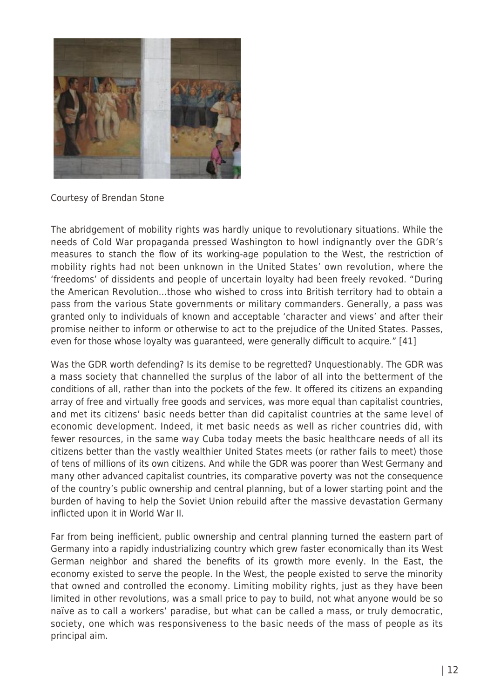

Courtesy of Brendan Stone

The abridgement of mobility rights was hardly unique to revolutionary situations. While the needs of Cold War propaganda pressed Washington to howl indignantly over the GDR's measures to stanch the flow of its working-age population to the West, the restriction of mobility rights had not been unknown in the United States' own revolution, where the 'freedoms' of dissidents and people of uncertain loyalty had been freely revoked. "During the American Revolution…those who wished to cross into British territory had to obtain a pass from the various State governments or military commanders. Generally, a pass was granted only to individuals of known and acceptable 'character and views' and after their promise neither to inform or otherwise to act to the prejudice of the United States. Passes, even for those whose loyalty was guaranteed, were generally difficult to acquire." [41]

Was the GDR worth defending? Is its demise to be regretted? Unquestionably. The GDR was a mass society that channelled the surplus of the labor of all into the betterment of the conditions of all, rather than into the pockets of the few. It offered its citizens an expanding array of free and virtually free goods and services, was more equal than capitalist countries, and met its citizens' basic needs better than did capitalist countries at the same level of economic development. Indeed, it met basic needs as well as richer countries did, with fewer resources, in the same way Cuba today meets the basic healthcare needs of all its citizens better than the vastly wealthier United States meets (or rather fails to meet) those of tens of millions of its own citizens. And while the GDR was poorer than West Germany and many other advanced capitalist countries, its comparative poverty was not the consequence of the country's public ownership and central planning, but of a lower starting point and the burden of having to help the Soviet Union rebuild after the massive devastation Germany inflicted upon it in World War II.

Far from being inefficient, public ownership and central planning turned the eastern part of Germany into a rapidly industrializing country which grew faster economically than its West German neighbor and shared the benefits of its growth more evenly. In the East, the economy existed to serve the people. In the West, the people existed to serve the minority that owned and controlled the economy. Limiting mobility rights, just as they have been limited in other revolutions, was a small price to pay to build, not what anyone would be so naïve as to call a workers' paradise, but what can be called a mass, or truly democratic, society, one which was responsiveness to the basic needs of the mass of people as its principal aim.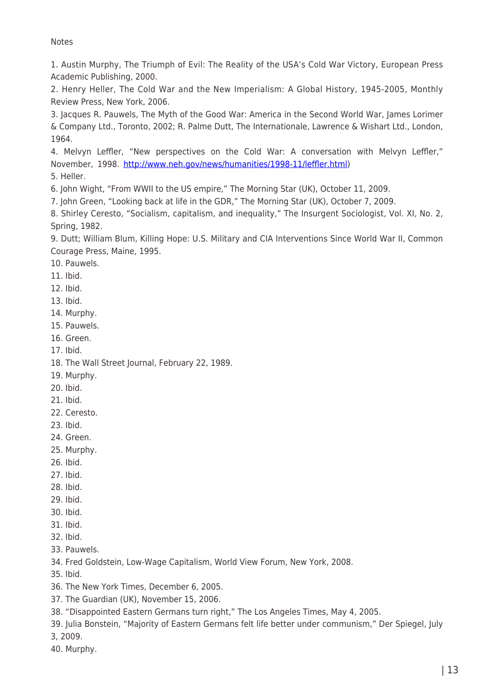**Notes** 

1. Austin Murphy, The Triumph of Evil: The Reality of the USA's Cold War Victory, European Press Academic Publishing, 2000.

2. Henry Heller, The Cold War and the New Imperialism: A Global History, 1945-2005, Monthly Review Press, New York, 2006.

3. Jacques R. Pauwels, The Myth of the Good War: America in the Second World War, James Lorimer & Company Ltd., Toronto, 2002; R. Palme Dutt, The Internationale, Lawrence & Wishart Ltd., London, 1964.

4. Melvyn Leffler, "New perspectives on the Cold War: A conversation with Melvyn Leffler," November, 1998. [http://www.neh.gov/news/humanities/1998-11/leffler.html\)](http://www.neh.gov/news/humanities/1998-11/leffler.html)

5. Heller.

6. John Wight, "From WWII to the US empire," The Morning Star (UK), October 11, 2009.

7. John Green, "Looking back at life in the GDR," The Morning Star (UK), October 7, 2009.

8. Shirley Ceresto, "Socialism, capitalism, and inequality," The Insurgent Sociologist, Vol. XI, No. 2, Spring, 1982.

9. Dutt; William Blum, Killing Hope: U.S. Military and CIA Interventions Since World War II, Common Courage Press, Maine, 1995.

10. Pauwels.

11. Ibid.

12. Ibid.

13. Ibid.

14. Murphy.

15. Pauwels.

16. Green.

17. Ibid.

18. The Wall Street Journal, February 22, 1989.

19. Murphy.

20. Ibid.

- 21. Ibid.
- 22. Ceresto.

23. Ibid.

24. Green.

25. Murphy.

- 26. Ibid.
- 27. Ibid.
- 28. Ibid.
- 29. Ibid.
- 30. Ibid.
- 31. Ibid.
- 32. Ibid.
- 33. Pauwels.
- 34. Fred Goldstein, Low-Wage Capitalism, World View Forum, New York, 2008.

35. Ibid.

36. The New York Times, December 6, 2005.

37. The Guardian (UK), November 15, 2006.

38. "Disappointed Eastern Germans turn right," The Los Angeles Times, May 4, 2005.

39. Julia Bonstein, "Majority of Eastern Germans felt life better under communism," Der Spiegel, July

3, 2009.

40. Murphy.